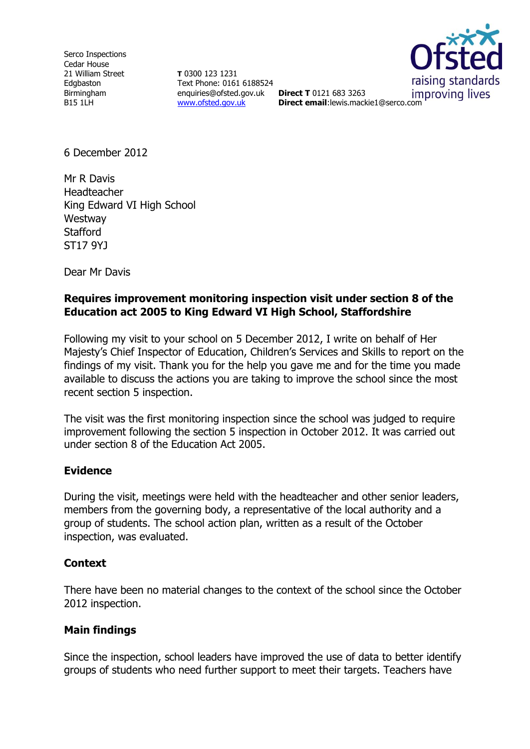Serco Inspections Cedar House 21 William Street Edgbaston Birmingham B15 1LH

**T** 0300 123 1231 Text Phone: 0161 6188524 enquiries@ofsted.gov.uk **Direct T** 0121 683 3263 [www.ofsted.gov.uk](http://www.ofsted.gov.uk/)



improving lives **Direct email**:lewis.mackie1@serco.com

6 December 2012

Mr R Davis Headteacher King Edward VI High School **Westway Stafford** ST17 9YJ

Dear Mr Davis

#### **Requires improvement monitoring inspection visit under section 8 of the Education act 2005 to King Edward VI High School, Staffordshire**

Following my visit to your school on 5 December 2012, I write on behalf of Her Majesty's Chief Inspector of Education, Children's Services and Skills to report on the findings of my visit. Thank you for the help you gave me and for the time you made available to discuss the actions you are taking to improve the school since the most recent section 5 inspection.

The visit was the first monitoring inspection since the school was judged to require improvement following the section 5 inspection in October 2012. It was carried out under section 8 of the Education Act 2005.

#### **Evidence**

During the visit, meetings were held with the headteacher and other senior leaders, members from the governing body, a representative of the local authority and a group of students. The school action plan, written as a result of the October inspection, was evaluated.

# **Context**

There have been no material changes to the context of the school since the October 2012 inspection.

# **Main findings**

Since the inspection, school leaders have improved the use of data to better identify groups of students who need further support to meet their targets. Teachers have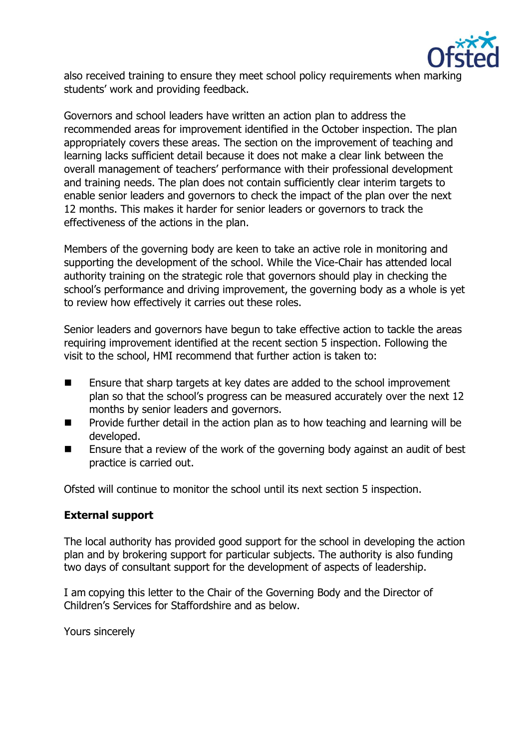

also received training to ensure they meet school policy requirements when marking students' work and providing feedback.

Governors and school leaders have written an action plan to address the recommended areas for improvement identified in the October inspection. The plan appropriately covers these areas. The section on the improvement of teaching and learning lacks sufficient detail because it does not make a clear link between the overall management of teachers' performance with their professional development and training needs. The plan does not contain sufficiently clear interim targets to enable senior leaders and governors to check the impact of the plan over the next 12 months. This makes it harder for senior leaders or governors to track the effectiveness of the actions in the plan.

Members of the governing body are keen to take an active role in monitoring and supporting the development of the school. While the Vice-Chair has attended local authority training on the strategic role that governors should play in checking the school's performance and driving improvement, the governing body as a whole is yet to review how effectively it carries out these roles.

Senior leaders and governors have begun to take effective action to tackle the areas requiring improvement identified at the recent section 5 inspection. Following the visit to the school, HMI recommend that further action is taken to:

- Ensure that sharp targets at key dates are added to the school improvement plan so that the school's progress can be measured accurately over the next 12 months by senior leaders and governors.
- $\blacksquare$  Provide further detail in the action plan as to how teaching and learning will be developed.
- Ensure that a review of the work of the governing body against an audit of best practice is carried out.

Ofsted will continue to monitor the school until its next section 5 inspection.

# **External support**

The local authority has provided good support for the school in developing the action plan and by brokering support for particular subjects. The authority is also funding two days of consultant support for the development of aspects of leadership.

I am copying this letter to the Chair of the Governing Body and the Director of Children's Services for Staffordshire and as below.

Yours sincerely